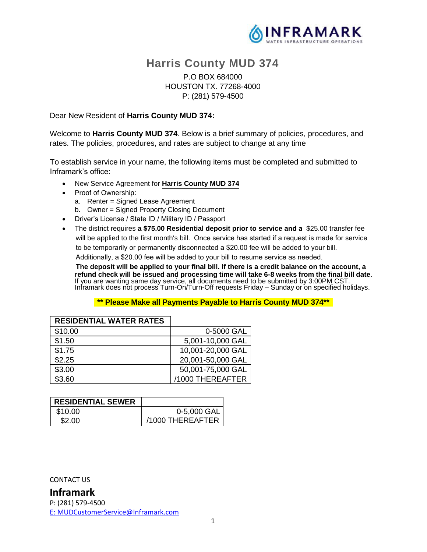

# **Harris County MUD 374**

## P.O BOX 684000 HOUSTON TX. 77268-4000 P: (281) 579-4500

Dear New Resident of **Harris County MUD 374:**

Welcome to **Harris County MUD 374**. Below is a brief summary of policies, procedures, and rates. The policies, procedures, and rates are subject to change at any time

To establish service in your name, the following items must be completed and submitted to Inframark's office:

- New Service Agreement for **Harris County MUD 374**
- Proof of Ownership:
	- a. Renter = Signed Lease Agreement
	- b. Owner = Signed Property Closing Document
- Driver's License / State ID / Military ID / Passport
- The district requires **a \$75.00 Residential deposit prior to service and a** \$25.00 transfer fee will be applied to the first month's bill. Once service has started if a request is made for service to be temporarily or permanently disconnected a \$20.00 fee will be added to your bill.

Additionally, a \$20.00 fee will be added to your bill to resume service as needed.

 **The deposit will be applied to your final bill. If there is a credit balance on the account, a refund check will be issued and processing time will take 6-8 weeks from the final bill date**. If you are wanting same day service, all documents need to be submitted by 3:00PM CST. Inframark does not process Turn-On/Turn-Off requests Friday – Sunday or on specified holidays.

#### **\*\* Please Make all Payments Payable to Harris County MUD 374\*\***

| <b>RESIDENTIAL WATER RATES</b> |                   |
|--------------------------------|-------------------|
| \$10.00                        | 0-5000 GAL        |
| \$1.50                         | 5,001-10,000 GAL  |
| \$1.75                         | 10,001-20,000 GAL |
| \$2.25                         | 20,001-50,000 GAL |
| \$3.00                         | 50,001-75,000 GAL |
| \$3.60                         | /1000 THEREAFTER  |

| <b>RESIDENTIAL SEWER</b> |                  |
|--------------------------|------------------|
| \$10.00                  | 0-5,000 GAL      |
| \$2.00                   | /1000 THEREAFTER |

CONTACT US

## **Inframark**

P: (281) 579-4500 [E:](ftp://E:_MUDCustomerService@inframark.com/) MUDCustomerService@Inframark.com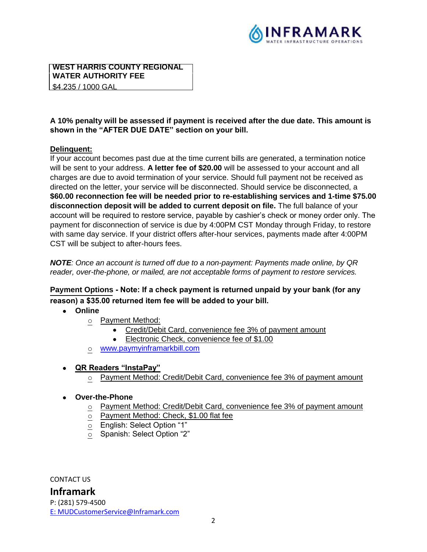

#### **WEST HARRIS COUNTY REGIONAL WATER AUTHORITY FEE** \$4.235 / 1000 GAL

**A 10% penalty will be assessed if payment is received after the due date. This amount is shown in the "AFTER DUE DATE" section on your bill.**

#### **Delinquent:**

If your account becomes past due at the time current bills are generated, a termination notice will be sent to your address. **A letter fee of \$20.00** will be assessed to your account and all charges are due to avoid termination of your service. Should full payment not be received as directed on the letter, your service will be disconnected. Should service be disconnected, a **\$60.00 reconnection fee will be needed prior to re-establishing services and 1-time \$75.00 disconnection deposit will be added to current deposit on file.** The full balance of your account will be required to restore service, payable by cashier's check or money order only. The payment for disconnection of service is due by 4:00PM CST Monday through Friday, to restore with same day service. If your district offers after-hour services, payments made after 4:00PM CST will be subject to after-hours fees.

*NOTE: Once an account is turned off due to a non-payment: Payments made online, by QR reader, over-the-phone, or mailed, are not acceptable forms of payment to restore services.*

# **Payment Options Note: If a check payment is returned unpaid by your bank (for any reason) a \$35.00 returned item fee will be added to your bill.**

# • **Online**

- o Payment Method:
	- Credit/Debit Card, convenience fee 3% of payment amount
	- Electronic Check, convenience fee of \$1.00
- o [www.paymyinframarkbill.com](http://www.paymyinframarkbill.com/)
- **QR Readers "InstaPay"** 
	- $\circ$  Payment Method: Credit/Debit Card, convenience fee 3% of payment amount

#### • **Over-the-Phone**

- o Payment Method: Credit/Debit Card, convenience fee 3% of payment amount
- o Payment Method: Check, \$1.00 flat fee
- o English: Select Option "1"
- $\overline{\circ}$  Spanish: Select Option "2"

CONTACT US

# **Inframark**

P: (281) 579-4500 [E:](ftp://E:_MUDCustomerService@inframark.com/) MUDCustomerService@Inframark.com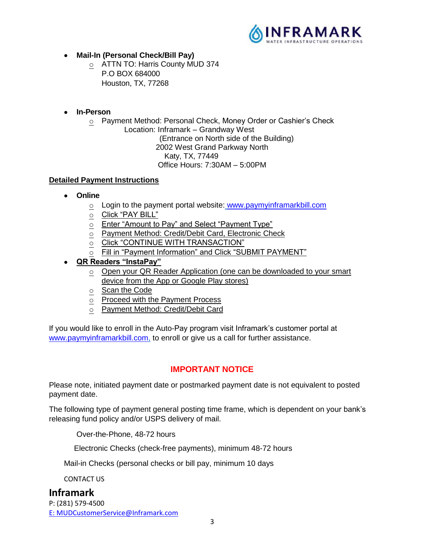

- **Mail-In (Personal Check/Bill Pay)**
	- o ATTN TO: Harris County MUD 374 P.O BOX 684000 Houston, TX, 77268
- **In-Person**
	- o Payment Method: Personal Check, Money Order or Cashier's Check Location: Inframark – Grandway West

(Entrance on North side of the Building)

2002 West Grand Parkway North

Katy, TX, 77449

Office Hours: 7:30AM – 5:00PM

#### **Detailed Payment Instructions**

- **Online**
	- o Login to the payment portal website: [www.paymyinframarkbill.com](http://www.paymyinframarkbill.com/)
	- o Click "PAY BILL"
	- o Enter "Amount to Pay" and Select "Payment Type"
	- o Payment Method: Credit/Debit Card, Electronic Check
	- O Click "CONTINUE WITH TRANSACTION"
	- Fill in "Payment Information" and Click "SUBMIT PAYMENT"
- **QR Readers "InstaPay"** 
	- o Open your QR Reader Application (one can be downloaded to your smart device from the App or Google Play stores)
	- o Scan the Code
	- o Proceed with the Payment Process
	- o Payment Method: Credit/Debit Card

If you would like to enroll in the Auto-Pay program visit Inframark's customer portal at [www.paymyinframarkbill.com,](http://www.paymyinframarkbill.com/) to enroll or give us a call for further assistance.

# **IMPORTANT NOTICE**

Please note, initiated payment date or postmarked payment date is not equivalent to posted payment date.

The following type of payment general posting time frame, which is dependent on your bank's releasing fund policy and/or USPS delivery of mail.

Over-the-Phone, 48-72 hours

Electronic Checks (check-free payments), minimum 48-72 hours

Mail-in Checks (personal checks or bill pay, minimum 10 days

CONTACT US

**Inframark** P: (281) 579-4500 [E:](ftp://E:_MUDCustomerService@inframark.com/) MUDCustomerService@Inframark.com